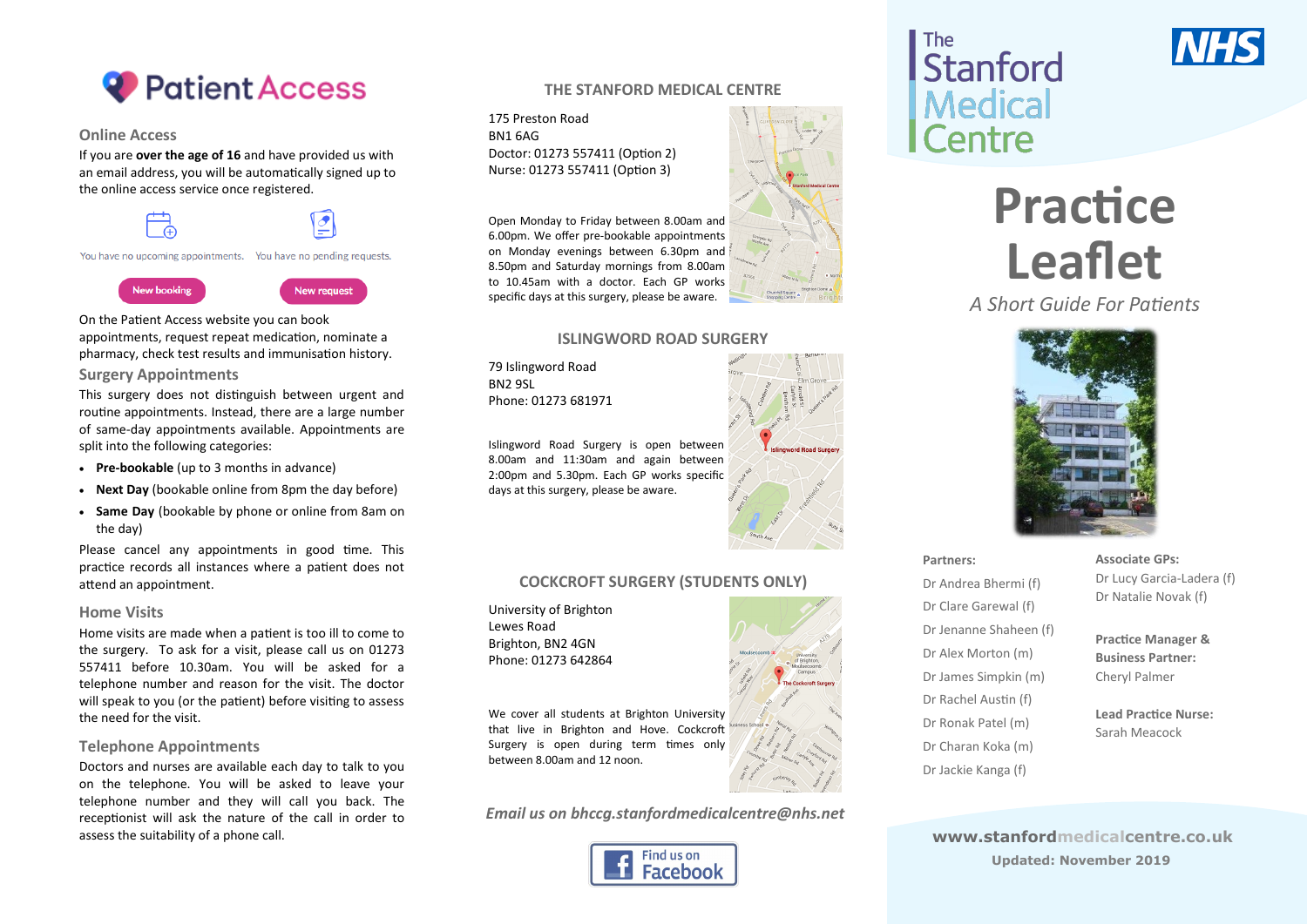

#### **Online Access**

If you are **over the age of 16** and have provided us with an email address, you will be automatically signed up to the online access service once registered.

You have no upcoming appointments. You have no pending requests.

## **New booking**

**New request** 

On the Patient Access website you can book appointments, request repeat medication, nominate a pharmacy, check test results and immunisation history.

#### **Surgery Appointments**

This surgery does not distinguish between urgent and routine appointments. Instead, there are a large number of same-day appointments available. Appointments are split into the following categories:

- **Pre-bookable** (up to 3 months in advance)
- **Next Day** (bookable online from 8pm the day before)
- **Same Day** (bookable by phone or online from 8am on the day)

Please cancel any appointments in good time. This practice records all instances where a patient does not attend an appointment.

#### **Home Visits**

Home visits are made when a patient is too ill to come to the surgery. To ask for a visit, please call us on 01273 557411 before 10.30am. You will be asked for a telephone number and reason for the visit. The doctor will speak to you (or the patient) before visiting to assess the need for the visit.

#### **Telephone Appointments**

Doctors and nurses are available each day to talk to you on the telephone. You will be asked to leave your telephone number and they will call you back. The receptionist will ask the nature of the call in order to assess the suitability of a phone call. **www.stanfordmedicalcentre.co.uk**

#### **THE STANFORD MEDICAL CENTRE**

175 Preston Road BN1 6AG Doctor: 01273 557411 (Option 2) Nurse: 01273 557411 (Option 3)

Open Monday to Friday between 8.00am and 6.00pm. We offer pre-bookable appointments on Monday evenings between 6.30pm and 8.50pm and Saturday mornings from 8.00am to 10.45am with a doctor. Each GP works specific days at this surgery, please be aware.

#### **ISLINGWORD ROAD SURGERY**

79 Islingword Road BN2 9SL Phone: 01273 681971

Islingword Road Surgery is open between 8.00am and 11:30am and again between 2:00pm and 5.30pm. Each GP works specific days at this surgery, please be aware.

## **COCKCROFT SURGERY (STUDENTS ONLY)**

University of Brighton Lewes Road Brighton, BN2 4GN Phone: 01273 642864

We cover all students at Brighton University that live in Brighton and Hove. Cockcroft Surgery is open during term times only between 8.00am and 12 noon.

*Email us on bhccg.stanfordmedicalcentre@nhs.net*







# **Practice Leaflet**

*A Short Guide For Patients*



**Partners:**

Dr Andrea Bhermi (f) Dr Clare Garewal (f) Dr Jenanne Shaheen (f) Dr Alex Morton (m) Dr James Simpkin (m) Dr Rachel Austin (f) Dr Ronak Patel (m) Dr Charan Koka (m) Dr Jackie Kanga (f)

**Associate GPs:** Dr Lucy Garcia-Ladera (f) Dr Natalie Novak (f)

**Practice Manager & Business Partner:** Cheryl Palmer

**Lead Practice Nurse:** Sarah Meacock

**Updated: November 2019**